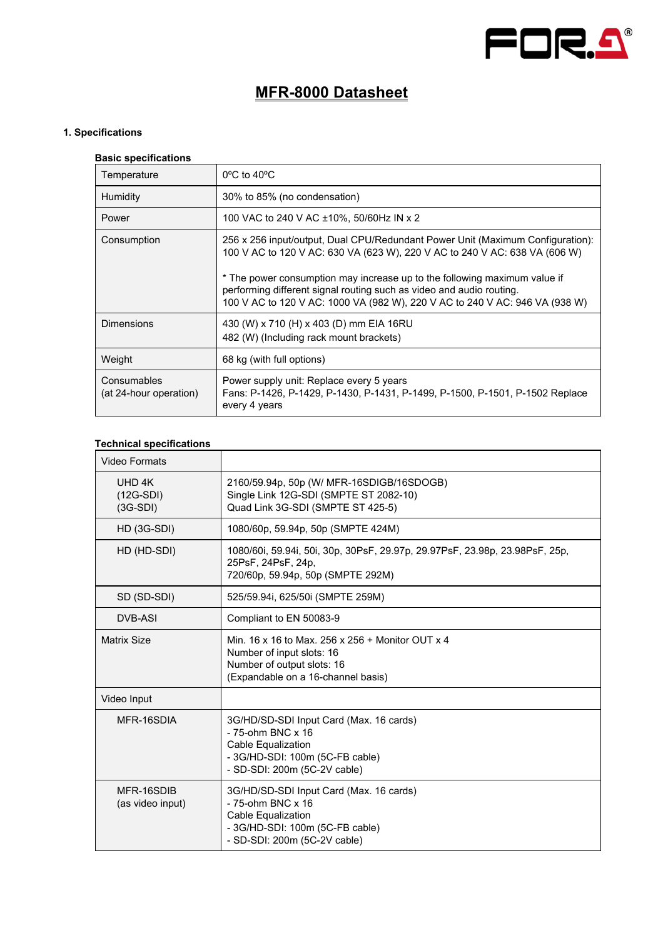

# **MFR-8000 Datasheet**

### **1. Specifications**

| <b>Basic specifications</b>           |                                                                                                                                                                                                                                                                                                                                                                                                  |  |
|---------------------------------------|--------------------------------------------------------------------------------------------------------------------------------------------------------------------------------------------------------------------------------------------------------------------------------------------------------------------------------------------------------------------------------------------------|--|
| Temperature                           | $0^{\circ}$ C to 40 $^{\circ}$ C                                                                                                                                                                                                                                                                                                                                                                 |  |
| Humidity                              | 30% to 85% (no condensation)                                                                                                                                                                                                                                                                                                                                                                     |  |
| Power                                 | 100 VAC to 240 V AC ±10%, 50/60Hz IN x 2                                                                                                                                                                                                                                                                                                                                                         |  |
| Consumption                           | 256 x 256 input/output, Dual CPU/Redundant Power Unit (Maximum Configuration):<br>100 V AC to 120 V AC: 630 VA (623 W), 220 V AC to 240 V AC: 638 VA (606 W)<br>* The power consumption may increase up to the following maximum value if<br>performing different signal routing such as video and audio routing.<br>100 V AC to 120 V AC: 1000 VA (982 W), 220 V AC to 240 V AC: 946 VA (938 W) |  |
| <b>Dimensions</b>                     | 430 (W) x 710 (H) x 403 (D) mm EIA 16RU<br>482 (W) (Including rack mount brackets)                                                                                                                                                                                                                                                                                                               |  |
| Weight                                | 68 kg (with full options)                                                                                                                                                                                                                                                                                                                                                                        |  |
| Consumables<br>(at 24-hour operation) | Power supply unit: Replace every 5 years<br>Fans: P-1426, P-1429, P-1430, P-1431, P-1499, P-1500, P-1501, P-1502 Replace<br>every 4 years                                                                                                                                                                                                                                                        |  |

#### **Technical specifications**

| Video Formats                       |                                                                                                                                                              |
|-------------------------------------|--------------------------------------------------------------------------------------------------------------------------------------------------------------|
| UHD 4K<br>$(12G-SDI)$<br>$(3G-SDI)$ | 2160/59.94p, 50p (W/ MFR-16SDIGB/16SDOGB)<br>Single Link 12G-SDI (SMPTE ST 2082-10)<br>Quad Link 3G-SDI (SMPTE ST 425-5)                                     |
| $HD$ (3G-SDI)                       | 1080/60p, 59.94p, 50p (SMPTE 424M)                                                                                                                           |
| HD (HD-SDI)                         | 1080/60i, 59.94i, 50i, 30p, 30PsF, 29.97p, 29.97PsF, 23.98p, 23.98PsF, 25p,<br>25PsF, 24PsF, 24p,<br>720/60p, 59.94p, 50p (SMPTE 292M)                       |
| SD (SD-SDI)                         | 525/59.94i, 625/50i (SMPTE 259M)                                                                                                                             |
| DVB-ASI                             | Compliant to EN 50083-9                                                                                                                                      |
| <b>Matrix Size</b>                  | Min. 16 x 16 to Max. 256 x 256 + Monitor OUT x 4<br>Number of input slots: 16<br>Number of output slots: 16<br>(Expandable on a 16-channel basis)            |
| Video Input                         |                                                                                                                                                              |
| MFR-16SDIA                          | 3G/HD/SD-SDI Input Card (Max. 16 cards)<br>- 75-ohm BNC x 16<br>Cable Equalization<br>- 3G/HD-SDI: 100m (5C-FB cable)<br>- SD-SDI: 200m (5C-2V cable)        |
| MFR-16SDIB<br>(as video input)      | 3G/HD/SD-SDI Input Card (Max. 16 cards)<br>- 75-ohm BNC x 16<br><b>Cable Equalization</b><br>- 3G/HD-SDI: 100m (5C-FB cable)<br>- SD-SDI: 200m (5C-2V cable) |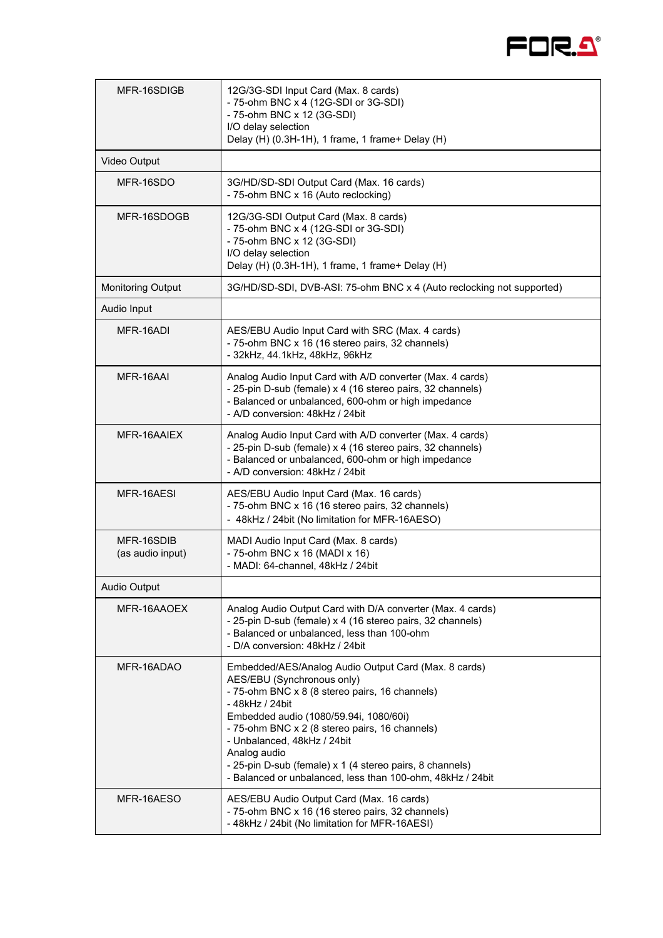

| MFR-16SDIGB                    | 12G/3G-SDI Input Card (Max. 8 cards)<br>- 75-ohm BNC x 4 (12G-SDI or 3G-SDI)<br>- 75-ohm BNC x 12 (3G-SDI)<br>I/O delay selection<br>Delay (H) (0.3H-1H), 1 frame, 1 frame+ Delay (H)                                                                                                                                                                                                                                        |
|--------------------------------|------------------------------------------------------------------------------------------------------------------------------------------------------------------------------------------------------------------------------------------------------------------------------------------------------------------------------------------------------------------------------------------------------------------------------|
| Video Output                   |                                                                                                                                                                                                                                                                                                                                                                                                                              |
| MFR-16SDO                      | 3G/HD/SD-SDI Output Card (Max. 16 cards)<br>- 75-ohm BNC x 16 (Auto reclocking)                                                                                                                                                                                                                                                                                                                                              |
| MFR-16SDOGB                    | 12G/3G-SDI Output Card (Max. 8 cards)<br>- 75-ohm BNC x 4 (12G-SDI or 3G-SDI)<br>- 75-ohm BNC x 12 (3G-SDI)<br>I/O delay selection<br>Delay (H) (0.3H-1H), 1 frame, 1 frame+ Delay (H)                                                                                                                                                                                                                                       |
| <b>Monitoring Output</b>       | 3G/HD/SD-SDI, DVB-ASI: 75-ohm BNC x 4 (Auto reclocking not supported)                                                                                                                                                                                                                                                                                                                                                        |
| Audio Input                    |                                                                                                                                                                                                                                                                                                                                                                                                                              |
| MFR-16ADI                      | AES/EBU Audio Input Card with SRC (Max. 4 cards)<br>- 75-ohm BNC x 16 (16 stereo pairs, 32 channels)<br>- 32kHz, 44.1kHz, 48kHz, 96kHz                                                                                                                                                                                                                                                                                       |
| MFR-16AAI                      | Analog Audio Input Card with A/D converter (Max. 4 cards)<br>- 25-pin D-sub (female) x 4 (16 stereo pairs, 32 channels)<br>- Balanced or unbalanced, 600-ohm or high impedance<br>- A/D conversion: 48kHz / 24bit                                                                                                                                                                                                            |
| MFR-16AAIEX                    | Analog Audio Input Card with A/D converter (Max. 4 cards)<br>- 25-pin D-sub (female) x 4 (16 stereo pairs, 32 channels)<br>- Balanced or unbalanced, 600-ohm or high impedance<br>- A/D conversion: 48kHz / 24bit                                                                                                                                                                                                            |
| MFR-16AESI                     | AES/EBU Audio Input Card (Max. 16 cards)<br>- 75-ohm BNC x 16 (16 stereo pairs, 32 channels)<br>- 48kHz / 24bit (No limitation for MFR-16AESO)                                                                                                                                                                                                                                                                               |
| MFR-16SDIB<br>(as audio input) | MADI Audio Input Card (Max. 8 cards)<br>- 75-ohm BNC x 16 (MADI x 16)<br>- MADI: 64-channel, 48kHz / 24bit                                                                                                                                                                                                                                                                                                                   |
| Audio Output                   |                                                                                                                                                                                                                                                                                                                                                                                                                              |
| MFR-16AAOEX                    | Analog Audio Output Card with D/A converter (Max. 4 cards)<br>- 25-pin D-sub (female) x 4 (16 stereo pairs, 32 channels)<br>- Balanced or unbalanced, less than 100-ohm<br>- D/A conversion: 48kHz / 24bit                                                                                                                                                                                                                   |
| MFR-16ADAO                     | Embedded/AES/Analog Audio Output Card (Max. 8 cards)<br>AES/EBU (Synchronous only)<br>- 75-ohm BNC x 8 (8 stereo pairs, 16 channels)<br>- 48kHz / 24bit<br>Embedded audio (1080/59.94i, 1080/60i)<br>- 75-ohm BNC x 2 (8 stereo pairs, 16 channels)<br>- Unbalanced, 48kHz / 24bit<br>Analog audio<br>- 25-pin D-sub (female) x 1 (4 stereo pairs, 8 channels)<br>- Balanced or unbalanced, less than 100-ohm, 48kHz / 24bit |
| MFR-16AESO                     | AES/EBU Audio Output Card (Max. 16 cards)<br>- 75-ohm BNC x 16 (16 stereo pairs, 32 channels)<br>- 48kHz / 24bit (No limitation for MFR-16AESI)                                                                                                                                                                                                                                                                              |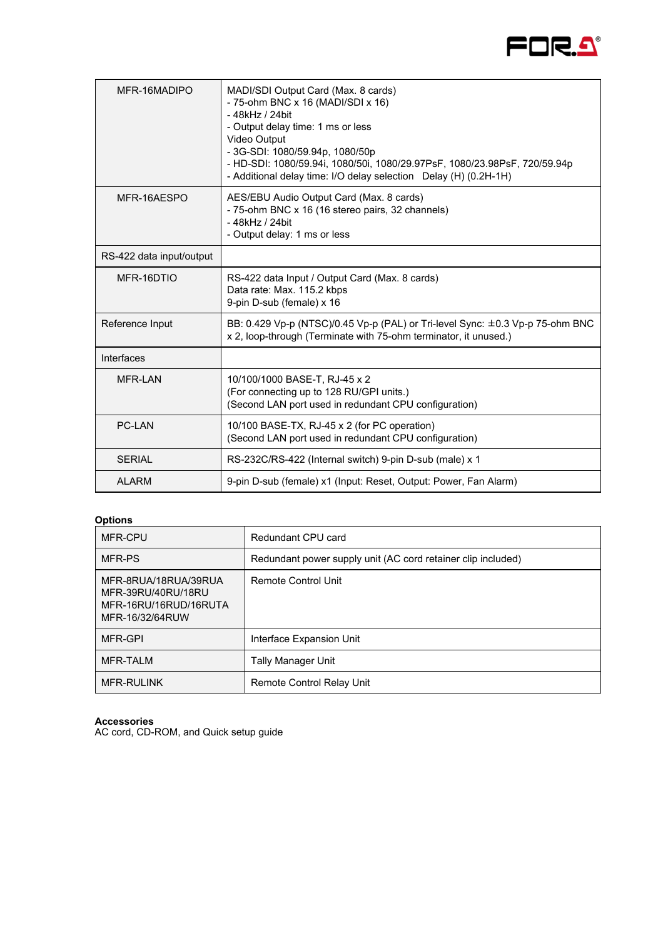

| MFR-16MADIPO             | MADI/SDI Output Card (Max. 8 cards)<br>- 75-ohm BNC x 16 (MADI/SDI x 16)<br>- 48kHz / 24bit<br>- Output delay time: 1 ms or less<br>Video Output<br>- 3G-SDI: 1080/59.94p, 1080/50p<br>- HD-SDI: 1080/59.94i, 1080/50i, 1080/29.97PsF, 1080/23.98PsF, 720/59.94p<br>- Additional delay time: I/O delay selection Delay (H) (0.2H-1H) |
|--------------------------|--------------------------------------------------------------------------------------------------------------------------------------------------------------------------------------------------------------------------------------------------------------------------------------------------------------------------------------|
| MFR-16AESPO              | AES/EBU Audio Output Card (Max. 8 cards)<br>- 75-ohm BNC x 16 (16 stereo pairs, 32 channels)<br>- 48kHz / 24bit<br>- Output delay: 1 ms or less                                                                                                                                                                                      |
| RS-422 data input/output |                                                                                                                                                                                                                                                                                                                                      |
| MFR-16DTIO               | RS-422 data Input / Output Card (Max. 8 cards)<br>Data rate: Max. 115.2 kbps<br>9-pin D-sub (female) x 16                                                                                                                                                                                                                            |
| Reference Input          | BB: 0.429 Vp-p (NTSC)/0.45 Vp-p (PAL) or Tri-level Sync: ±0.3 Vp-p 75-ohm BNC<br>x 2, loop-through (Terminate with 75-ohm terminator, it unused.)                                                                                                                                                                                    |
| Interfaces               |                                                                                                                                                                                                                                                                                                                                      |
| <b>MFR-I AN</b>          | 10/100/1000 BASE-T, RJ-45 x 2<br>(For connecting up to 128 RU/GPI units.)<br>(Second LAN port used in redundant CPU configuration)                                                                                                                                                                                                   |
| <b>PC-I AN</b>           | 10/100 BASE-TX, RJ-45 x 2 (for PC operation)<br>(Second LAN port used in redundant CPU configuration)                                                                                                                                                                                                                                |
| <b>SERIAL</b>            | RS-232C/RS-422 (Internal switch) 9-pin D-sub (male) x 1                                                                                                                                                                                                                                                                              |
| <b>ALARM</b>             | 9-pin D-sub (female) x1 (Input: Reset, Output: Power, Fan Alarm)                                                                                                                                                                                                                                                                     |

## **Options**

| MFR-CPU                                                                                | Redundant CPU card                                           |
|----------------------------------------------------------------------------------------|--------------------------------------------------------------|
| MFR-PS                                                                                 | Redundant power supply unit (AC cord retainer clip included) |
| MFR-8RUA/18RUA/39RUA<br>MFR-39RU/40RU/18RU<br>MFR-16RU/16RUD/16RUTA<br>MFR-16/32/64RUW | <b>Remote Control Unit</b>                                   |
| MFR-GPI                                                                                | Interface Expansion Unit                                     |
| MFR-TALM                                                                               | Tally Manager Unit                                           |
| <b>MFR-RULINK</b>                                                                      | Remote Control Relay Unit                                    |

**Accessories** 

AC cord, CD-ROM, and Quick setup guide